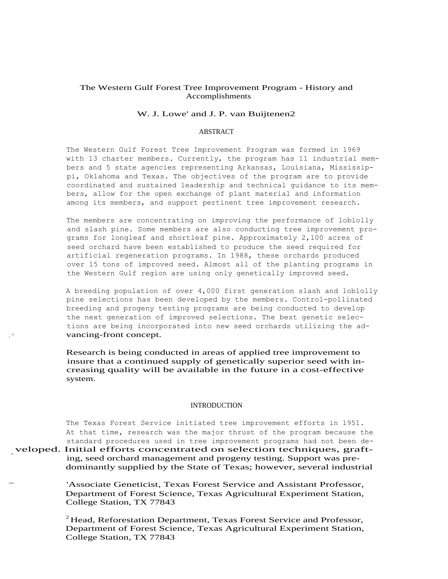# The Western Gulf Forest Tree Improvement Program - History and Accomplishments

### W. J. Lowe' and J. P. van Buijtenen2

## ABSTRACT

The Western Gulf Forest Tree Improvement Program was formed in 1969 with 13 charter members. Currently, the program has 11 industrial members and 5 state agencies representing Arkansas, Louisiana, Mississippi, Oklahoma and Texas. The objectives of the program are to provide coordinated and sustained leadership and technical guidance to its members, allow for the open exchange of plant material and information among its members, and support pertinent tree improvement research.

The members are concentrating on improving the performance of loblolly and slash pine. Some members are also conducting tree improvement programs for longleaf and shortleaf pine. Approximately 2,100 acres of seed orchard have been established to produce the seed required for artificial regeneration programs. In 1988, these orchards produced over 15 tons of improved seed. Almost all of the planting programs in the Western Gulf region are using only genetically improved seed.

A breeding population of over 4,000 first generation slash and loblolly pine selections has been developed by the members. Control-pollinated breeding and progeny testing programs are being conducted to develop the next generation of improved selections. The best genetic selections are being incorporated into new seed orchards utilizing the ad vancing-front concept.

Research is being conducted in areas of applied tree improvement to insure that a continued supply of genetically superior seed with increasing quality will be available in the future in a cost-effective system.

### INTRODUCTION

The Texas Forest Service initiated tree improvement efforts in 1951. At that time, research was the major thrust of the program because the standard procedures used in tree improvement programs had not been de standard procedures used in tree improvement programs had not been de-<br>veloped. Initial efforts concentrated on selection techniques, graft-<br>ing seed orchard management and progeny testing Support was preing, seed orchard management and progeny testing. Support was predominantly supplied by the State of Texas; however, several industrial

> *.■■■•* 'Associate Geneticist, Texas Forest Service and Assistant Professor, Department of Forest Science, Texas Agricultural Experiment Station, College Station, TX 77843

 $2$  Head, Reforestation Department, Texas Forest Service and Professor, Department of Forest Science, Texas Agricultural Experiment Station, College Station, TX 77843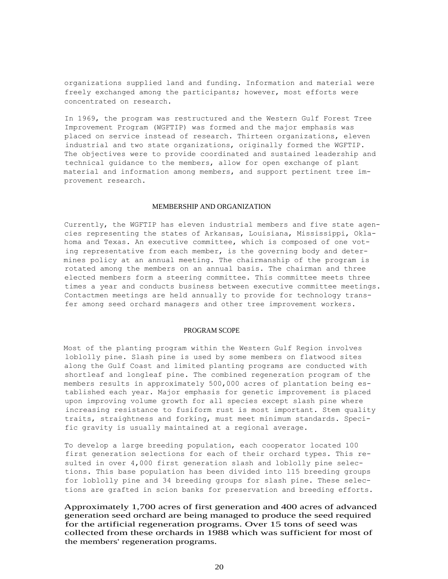organizations supplied land and funding. Information and material were freely exchanged among the participants; however, most efforts were concentrated on research.

In 1969, the program was restructured and the Western Gulf Forest Tree Improvement Program (WGFTIP) was formed and the major emphasis was placed on service instead of research. Thirteen organizations, eleven industrial and two state organizations, originally formed the WGFTIP. The objectives were to provide coordinated and sustained leadership and technical guidance to the members, allow for open exchange of plant material and information among members, and support pertinent tree improvement research.

#### MEMBERSHIP AND ORGANIZATION

Currently, the WGFTIP has eleven industrial members and five state agencies representing the states of Arkansas, Louisiana, Mississippi, Oklahoma and Texas. An executive committee, which is composed of one voting representative from each member, is the governing body and determines policy at an annual meeting. The chairmanship of the program is rotated among the members on an annual basis. The chairman and three elected members form a steering committee. This committee meets three times a year and conducts business between executive committee meetings. Contactmen meetings are held annually to provide for technology transfer among seed orchard managers and other tree improvement workers.

## PROGRAM SCOPE

Most of the planting program within the Western Gulf Region involves loblolly pine. Slash pine is used by some members on flatwood sites along the Gulf Coast and limited planting programs are conducted with shortleaf and longleaf pine. The combined regeneration program of the members results in approximately 500,000 acres of plantation being established each year. Major emphasis for genetic improvement is placed upon improving volume growth for all species except slash pine where increasing resistance to fusiform rust is most important. Stem quality traits, straightness and forking, must meet minimum standards. Specific gravity is usually maintained at a regional average.

To develop a large breeding population, each cooperator located 100 first generation selections for each of their orchard types. This resulted in over 4,000 first generation slash and loblolly pine selections. This base population has been divided into 115 breeding groups for loblolly pine and 34 breeding groups for slash pine. These selections are grafted in scion banks for preservation and breeding efforts.

Approximately 1,700 acres of first generation and 400 acres of advanced generation seed orchard are being managed to produce the seed required for the artificial regeneration programs. Over 15 tons of seed was collected from these orchards in 1988 which was sufficient for most of the members' regeneration programs.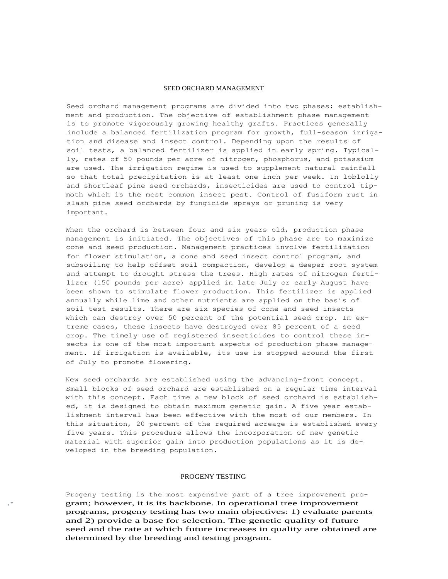#### SEED ORCHARD MANAGEMENT

Seed orchard management programs are divided into two phases: establishment and production. The objective of establishment phase management is to promote vigorously growing healthy grafts. Practices generally include a balanced fertilization program for growth, full-season irrigation and disease and insect control. Depending upon the results of soil tests, a balanced fertilizer is applied in early spring. Typically, rates of 50 pounds per acre of nitrogen, phosphorus, and potassium are used. The irrigation regime is used to supplement natural rainfall so that total precipitation is at least one inch per week. In loblolly and shortleaf pine seed orchards, insecticides are used to control tipmoth which is the most common insect pest. Control of fusiform rust in slash pine seed orchards by fungicide sprays or pruning is very important.

When the orchard is between four and six years old, production phase management is initiated. The objectives of this phase are to maximize cone and seed production. Management practices involve fertilization for flower stimulation, a cone and seed insect control program, and subsoiling to help offset soil compaction, develop a deeper root system and attempt to drought stress the trees. High rates of nitrogen fertilizer (150 pounds per acre) applied in late July or early August have been shown to stimulate flower production. This fertilizer is applied annually while lime and other nutrients are applied on the basis of soil test results. There are six species of cone and seed insects which can destroy over 50 percent of the potential seed crop. In extreme cases, these insects have destroyed over 85 percent of a seed crop. The timely use of registered insecticides to control these insects is one of the most important aspects of production phase management. If irrigation is available, its use is stopped around the first of July to promote flowering.

New seed orchards are established using the advancing-front concept. Small blocks of seed orchard are established on a regular time interval with this concept. Each time a new block of seed orchard is established, it is designed to obtain maximum genetic gain. A five year establishment interval has been effective with the most of our members. In this situation, 20 percent of the required acreage is established every five years. This procedure allows the incorporation of new genetic material with superior gain into production populations as it is developed in the breeding population.

#### PROGENY TESTING

Progeny testing is the most expensive part of a tree improvement pro gram; however, it is its backbone. In operational tree improvement programs, progeny testing has two main objectives: 1) evaluate parents and 2) provide a base for selection. The genetic quality of future seed and the rate at which future increases in quality are obtained are determined by the breeding and testing program.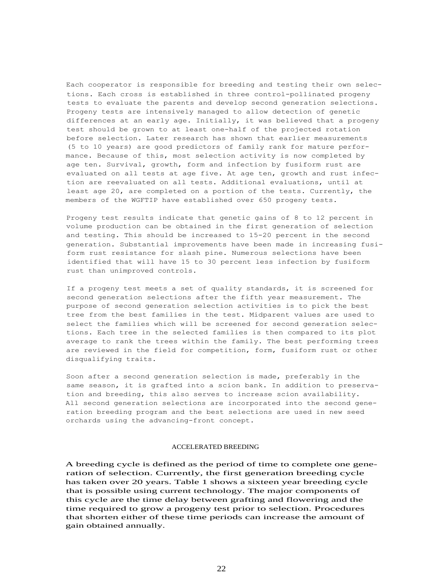Each cooperator is responsible for breeding and testing their own selections. Each cross is established in three control-pollinated progeny tests to evaluate the parents and develop second generation selections. Progeny tests are intensively managed to allow detection of genetic differences at an early age. Initially, it was believed that a progeny test should be grown to at least one-half of the projected rotation before selection. Later research has shown that earlier measurements (5 to 10 years) are good predictors of family rank for mature performance. Because of this, most selection activity is now completed by age ten. Survival, growth, form and infection by fusiform rust are evaluated on all tests at age five. At age ten, growth and rust infection are reevaluated on all tests. Additional evaluations, until at least age 20, are completed on a portion of the tests. Currently, the members of the WGFTIP have established over 650 progeny tests.

Progeny test results indicate that genetic gains of 8 to 12 percent in volume production can be obtained in the first generation of selection and testing. This should be increased to 15-20 percent in the second generation. Substantial improvements have been made in increasing fusiform rust resistance for slash pine. Numerous selections have been identified that will have 15 to 30 percent less infection by fusiform rust than unimproved controls.

If a progeny test meets a set of quality standards, it is screened for second generation selections after the fifth year measurement. The purpose of second generation selection activities is to pick the best tree from the best families in the test. Midparent values are used to select the families which will be screened for second generation selections. Each tree in the selected families is then compared to its plot average to rank the trees within the family. The best performing trees are reviewed in the field for competition, form, fusiform rust or other disqualifying traits.

Soon after a second generation selection is made, preferably in the same season, it is grafted into a scion bank. In addition to preservation and breeding, this also serves to increase scion availability. All second generation selections are incorporated into the second generation breeding program and the best selections are used in new seed orchards using the advancing-front concept.

## ACCELERATED BREEDING

A breeding cycle is defined as the period of time to complete one generation of selection. Currently, the first generation breeding cycle has taken over 20 years. Table 1 shows a sixteen year breeding cycle that is possible using current technology. The major components of this cycle are the time delay between grafting and flowering and the time required to grow a progeny test prior to selection. Procedures that shorten either of these time periods can increase the amount of gain obtained annually.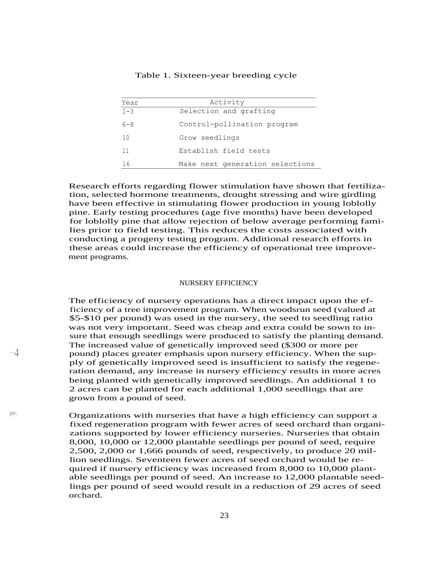| Year    | Activity                        |
|---------|---------------------------------|
| $1 - 3$ | Selection and grafting          |
| $6 - 8$ | Control-pollination program     |
| 10      | Grow seedlings                  |
| 11      | Establish field tests           |
| 16      | Make next generation selections |

# Table 1. Sixteen-year breeding cycle

Research efforts regarding flower stimulation have shown that fertilization, selected hormone treatments, drought stressing and wire girdling have been effective in stimulating flower production in young loblolly pine. Early testing procedures (age five months) have been developed for loblolly pine that allow rejection of below average performing families prior to field testing. This reduces the costs associated with conducting a progeny testing program. Additional research efforts in these areas could increase the efficiency of operational tree improvement programs.

#### NURSERY EFFICIENCY

The efficiency of nursery operations has a direct impact upon the efficiency of a tree improvement program. When woodsrun seed (valued at \$5-\$10 per pound) was used in the nursery, the seed to seedling ratio was not very important. Seed was cheap and extra could be sown to insure that enough seedlings were produced to satisfy the planting demand. The increased value of genetically improved seed (\$300 or more per  $-\frac{4}{7}$  pound) places greater emphasis upon nursery efficiency. When the supply of genetically improved seed is insufficient to satisfy the regeneration demand, any increase in nursery efficiency results in more acres being planted with genetically improved seedlings. An additional 1 to 2 acres can be planted for each additional 1,000 seedlings that are grown from a pound of seed.

**pe.** Organizations with nurseries that have a high efficiency can support a fixed regeneration program with fewer acres of seed orchard than organizations supported by lower efficiency nurseries. Nurseries that obtain 8,000, 10,000 or 12,000 plantable seedlings per pound of seed, require 2,500, 2,000 or 1,666 pounds of seed, respectively, to produce 20 million seedlings. Seventeen fewer acres of seed orchard would be required if nursery efficiency was increased from 8,000 to 10,000 plantable seedlings per pound of seed. An increase to 12,000 plantable seedlings per pound of seed would result in a reduction of 29 acres of seed orchard.